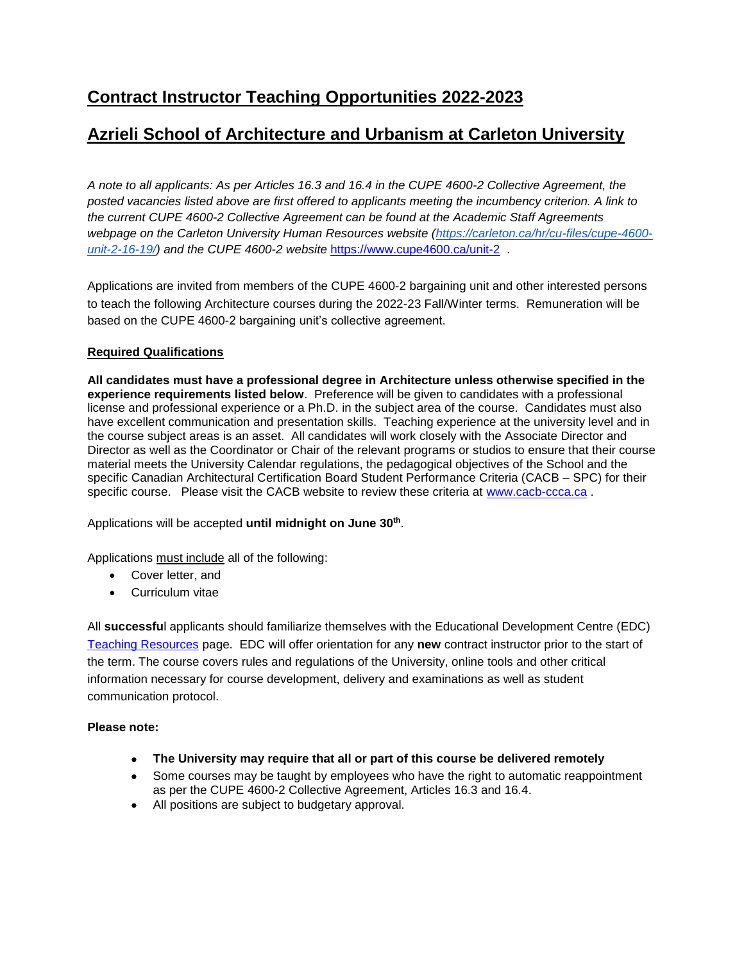# **Azrieli School of Architecture and Urbanism at Carleton University**

*A note to all applicants: As per Articles 16.3 and 16.4 in the CUPE 4600-2 Collective Agreement, the posted vacancies listed above are first offered to applicants meeting the incumbency criterion. A link to the current CUPE 4600-2 Collective Agreement can be found at the Academic Staff Agreements*  webpage on the Carleton University Human Resources website [\(https://carleton.ca/hr/cu-files/cupe-4600](https://carleton.ca/hr/cu-files/cupe-4600-unit-2-16-19/) *[unit-2-16-19/\)](https://carleton.ca/hr/cu-files/cupe-4600-unit-2-16-19/) and the CUPE 4600-2 website* <https://www.cupe4600.ca/unit-2> .

Applications are invited from members of the CUPE 4600-2 bargaining unit and other interested persons to teach the following Architecture courses during the 2022-23 Fall/Winter terms. Remuneration will be based on the CUPE 4600-2 bargaining unit's collective agreement.

### **Required Qualifications**

**All candidates must have a professional degree in Architecture unless otherwise specified in the experience requirements listed below**. Preference will be given to candidates with a professional license and professional experience or a Ph.D. in the subject area of the course. Candidates must also have excellent communication and presentation skills. Teaching experience at the university level and in the course subject areas is an asset. All candidates will work closely with the Associate Director and Director as well as the Coordinator or Chair of the relevant programs or studios to ensure that their course material meets the University Calendar regulations, the pedagogical objectives of the School and the specific Canadian Architectural Certification Board Student Performance Criteria (CACB – SPC) for their specific course. Please visit the CACB website to review these criteria at [www.cacb-ccca.ca](http://www.cacb-ccca.ca/).

Applications will be accepted **until midnight on June 30th** .

Applications must include all of the following:

- Cover letter, and
- Curriculum vitae

All **successfu**l applicants should familiarize themselves with the Educational Development Centre (EDC) [Teaching Resources](https://carleton.ca/edc/teachingresources/) page. EDC will offer orientation for any **new** contract instructor prior to the start of the term. The course covers rules and regulations of the University, online tools and other critical information necessary for course development, delivery and examinations as well as student communication protocol.

### **Please note:**

- **The University may require that all or part of this course be delivered remotely**
- Some courses may be taught by employees who have the right to automatic reappointment as per the CUPE 4600-2 Collective Agreement, Articles 16.3 and 16.4.
- All positions are subject to budgetary approval.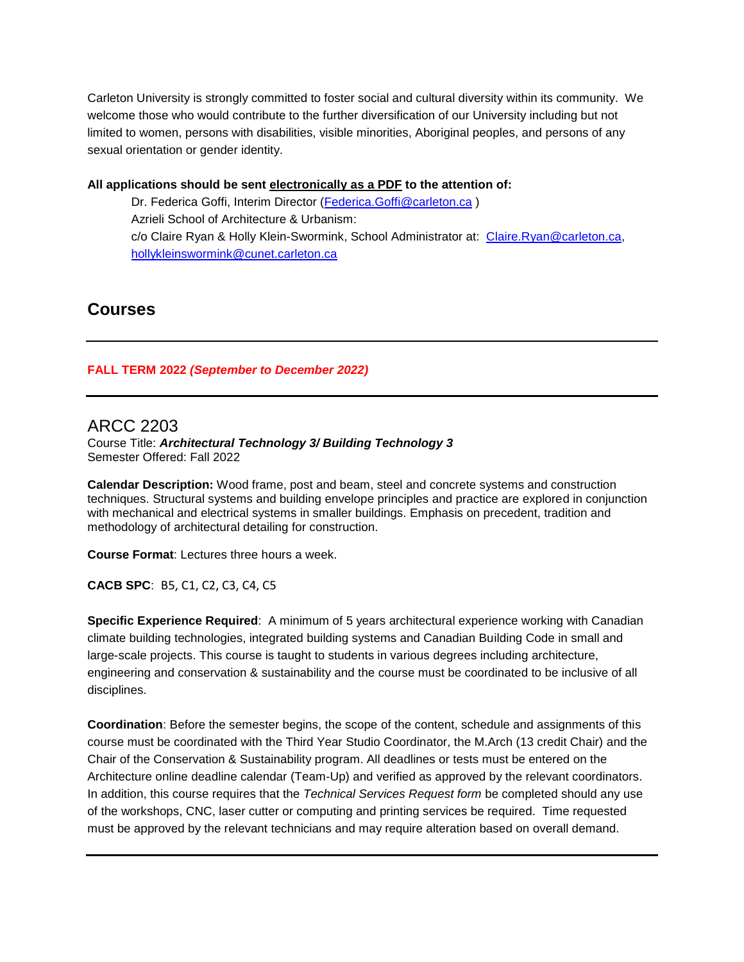Carleton University is strongly committed to foster social and cultural diversity within its community. We welcome those who would contribute to the further diversification of our University including but not limited to women, persons with disabilities, visible minorities, Aboriginal peoples, and persons of any sexual orientation or gender identity.

#### **All applications should be sent electronically as a PDF to the attention of:**

Dr. Federica Goffi, Interim Director [\(Federica.Goffi@carleton.ca](mailto:Federica.Goffi@carleton.ca) ) Azrieli School of Architecture & Urbanism: c/o Claire Ryan & Holly Klein-Swormink, School Administrator at: [Claire.Ryan@carleton.ca,](mailto:Claire.Ryan@carleton.ca) [hollykleinswormink@cunet.carleton.ca](mailto:hollykleinswormink@cunet.carleton.ca)

# **Courses**

### **FALL TERM 2022** *(September to December 2022)*

### ARCC 2203

Course Title: *Architectural Technology 3/ Building Technology 3* Semester Offered: Fall 2022

**Calendar Description:** Wood frame, post and beam, steel and concrete systems and construction techniques. Structural systems and building envelope principles and practice are explored in conjunction with mechanical and electrical systems in smaller buildings. Emphasis on precedent, tradition and methodology of architectural detailing for construction.

**Course Format**: Lectures three hours a week.

**CACB SPC**: B5, C1, C2, C3, C4, C5

**Specific Experience Required**: A minimum of 5 years architectural experience working with Canadian climate building technologies, integrated building systems and Canadian Building Code in small and large-scale projects. This course is taught to students in various degrees including architecture, engineering and conservation & sustainability and the course must be coordinated to be inclusive of all disciplines.

**Coordination**: Before the semester begins, the scope of the content, schedule and assignments of this course must be coordinated with the Third Year Studio Coordinator, the M.Arch (13 credit Chair) and the Chair of the Conservation & Sustainability program. All deadlines or tests must be entered on the Architecture online deadline calendar (Team-Up) and verified as approved by the relevant coordinators. In addition, this course requires that the *Technical Services Request form* be completed should any use of the workshops, CNC, laser cutter or computing and printing services be required. Time requested must be approved by the relevant technicians and may require alteration based on overall demand.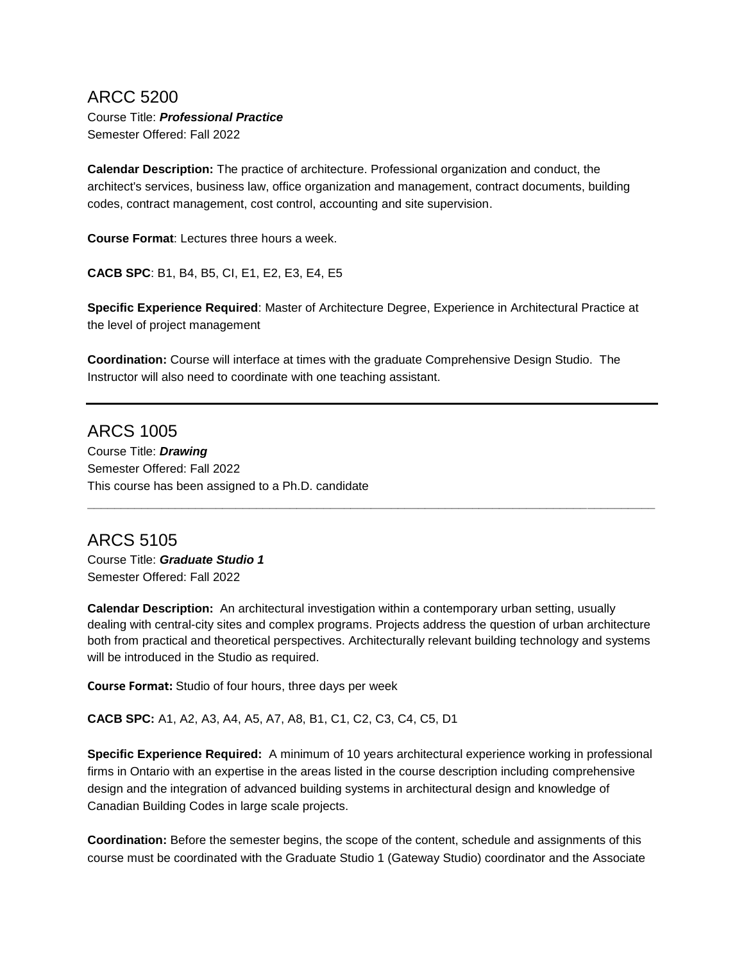# ARCC 5200

Course Title: *Professional Practice* Semester Offered: Fall 2022

**Calendar Description:** The practice of architecture. Professional organization and conduct, the architect's services, business law, office organization and management, contract documents, building codes, contract management, cost control, accounting and site supervision.

**Course Format**: Lectures three hours a week.

**CACB SPC**: B1, B4, B5, CI, E1, E2, E3, E4, E5

**Specific Experience Required**: Master of Architecture Degree, Experience in Architectural Practice at the level of project management

**Coordination:** Course will interface at times with the graduate Comprehensive Design Studio. The Instructor will also need to coordinate with one teaching assistant.

ARCS 1005 Course Title: *Drawing* Semester Offered: Fall 2022 This course has been assigned to a Ph.D. candidate

ARCS 5105 Course Title: *Graduate Studio 1* Semester Offered: Fall 2022

**Calendar Description:** An architectural investigation within a contemporary urban setting, usually dealing with central-city sites and complex programs. Projects address the question of urban architecture both from practical and theoretical perspectives. Architecturally relevant building technology and systems will be introduced in the Studio as required.

**\_\_\_\_\_\_\_\_\_\_\_\_\_\_\_\_\_\_\_\_\_\_\_\_\_\_\_\_\_\_\_\_\_\_\_\_\_\_\_\_\_\_\_\_\_\_\_\_\_\_\_\_\_\_\_\_\_\_\_\_\_\_\_\_\_\_\_\_\_\_\_\_\_\_\_\_\_\_\_\_\_\_\_\_**

**Course Format:** Studio of four hours, three days per week

**CACB SPC:** A1, A2, A3, A4, A5, A7, A8, B1, C1, C2, C3, C4, C5, D1

**Specific Experience Required:** A minimum of 10 years architectural experience working in professional firms in Ontario with an expertise in the areas listed in the course description including comprehensive design and the integration of advanced building systems in architectural design and knowledge of Canadian Building Codes in large scale projects.

**Coordination:** Before the semester begins, the scope of the content, schedule and assignments of this course must be coordinated with the Graduate Studio 1 (Gateway Studio) coordinator and the Associate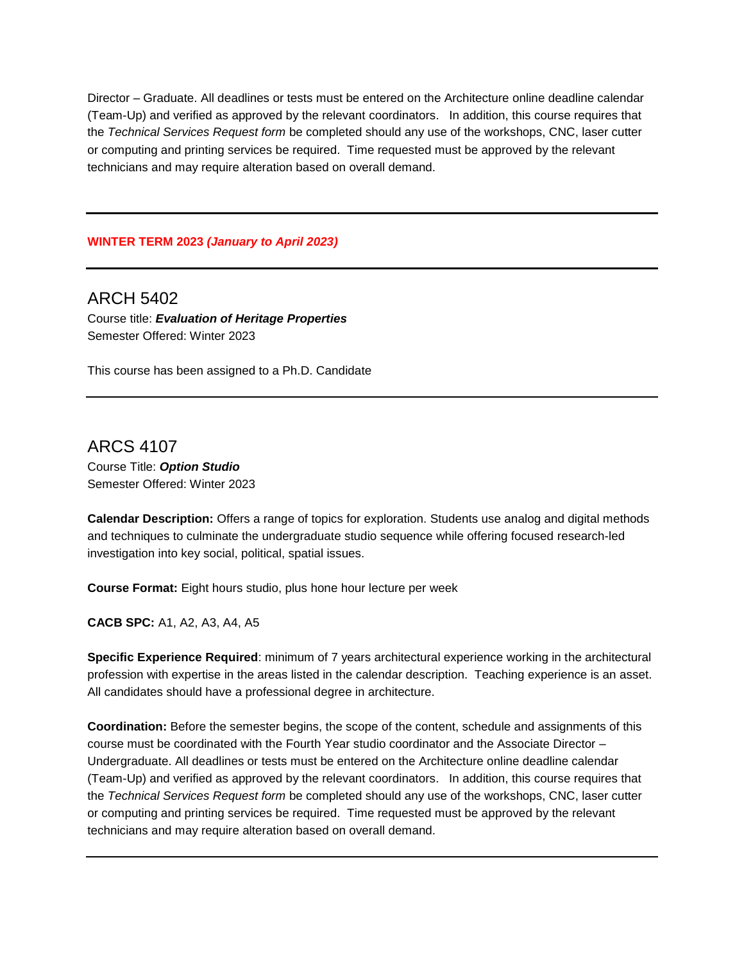Director – Graduate. All deadlines or tests must be entered on the Architecture online deadline calendar (Team-Up) and verified as approved by the relevant coordinators. In addition, this course requires that the *Technical Services Request form* be completed should any use of the workshops, CNC, laser cutter or computing and printing services be required. Time requested must be approved by the relevant technicians and may require alteration based on overall demand.

#### **WINTER TERM 2023** *(January to April 2023)*

ARCH 5402 Course title: *Evaluation of Heritage Properties* Semester Offered: Winter 2023

This course has been assigned to a Ph.D. Candidate

ARCS 4107 Course Title: *Option Studio* Semester Offered: Winter 2023

**Calendar Description:** Offers a range of topics for exploration. Students use analog and digital methods and techniques to culminate the undergraduate studio sequence while offering focused research-led investigation into key social, political, spatial issues.

**Course Format:** Eight hours studio, plus hone hour lecture per week

**CACB SPC:** A1, A2, A3, A4, A5

**Specific Experience Required**: minimum of 7 years architectural experience working in the architectural profession with expertise in the areas listed in the calendar description. Teaching experience is an asset. All candidates should have a professional degree in architecture.

**Coordination:** Before the semester begins, the scope of the content, schedule and assignments of this course must be coordinated with the Fourth Year studio coordinator and the Associate Director – Undergraduate. All deadlines or tests must be entered on the Architecture online deadline calendar (Team-Up) and verified as approved by the relevant coordinators. In addition, this course requires that the *Technical Services Request form* be completed should any use of the workshops, CNC, laser cutter or computing and printing services be required. Time requested must be approved by the relevant technicians and may require alteration based on overall demand.